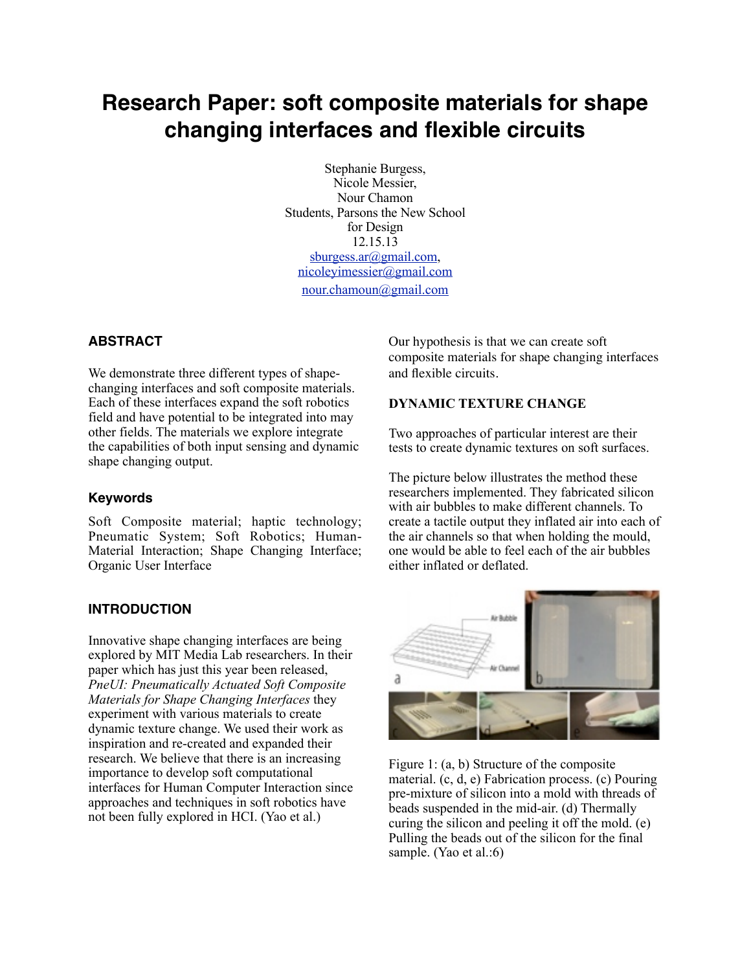# **Research Paper: soft composite materials for shape changing interfaces and flexible circuits**

Stephanie Burgess, Nicole Messier, Nour Chamon Students, Parsons the New School for Design 12.15.13 [sburgess.ar@gmail.com,](mailto:sburgess.ar@gmail.com) [nicoleyimessier@gmail.com](mailto:nicoleyimessier@gmail.com) [nour.chamoun@gmail.com](mailto:nour.chamoun@gmail.com)

#### **ABSTRACT**

We demonstrate three different types of shapechanging interfaces and soft composite materials. Each of these interfaces expand the soft robotics field and have potential to be integrated into may other fields. The materials we explore integrate the capabilities of both input sensing and dynamic shape changing output.

#### **Keywords**

Soft Composite material; haptic technology; Pneumatic System; Soft Robotics; Human-Material Interaction; Shape Changing Interface; Organic User Interface

#### **INTRODUCTION**

Innovative shape changing interfaces are being explored by MIT Media Lab researchers. In their paper which has just this year been released, *PneUI: Pneumatically Actuated Soft Composite Materials for Shape Changing Interfaces* they experiment with various materials to create dynamic texture change. We used their work as inspiration and re-created and expanded their research. We believe that there is an increasing importance to develop soft computational interfaces for Human Computer Interaction since approaches and techniques in soft robotics have not been fully explored in HCI. (Yao et al.)

Our hypothesis is that we can create soft composite materials for shape changing interfaces and flexible circuits.

#### **DYNAMIC TEXTURE CHANGE**

Two approaches of particular interest are their tests to create dynamic textures on soft surfaces.

The picture below illustrates the method these researchers implemented. They fabricated silicon with air bubbles to make different channels. To create a tactile output they inflated air into each of the air channels so that when holding the mould, one would be able to feel each of the air bubbles either inflated or deflated.



Figure 1: (a, b) Structure of the composite material. (c, d, e) Fabrication process. (c) Pouring pre-mixture of silicon into a mold with threads of beads suspended in the mid-air. (d) Thermally curing the silicon and peeling it off the mold. (e) Pulling the beads out of the silicon for the final sample. (Yao et al.:6)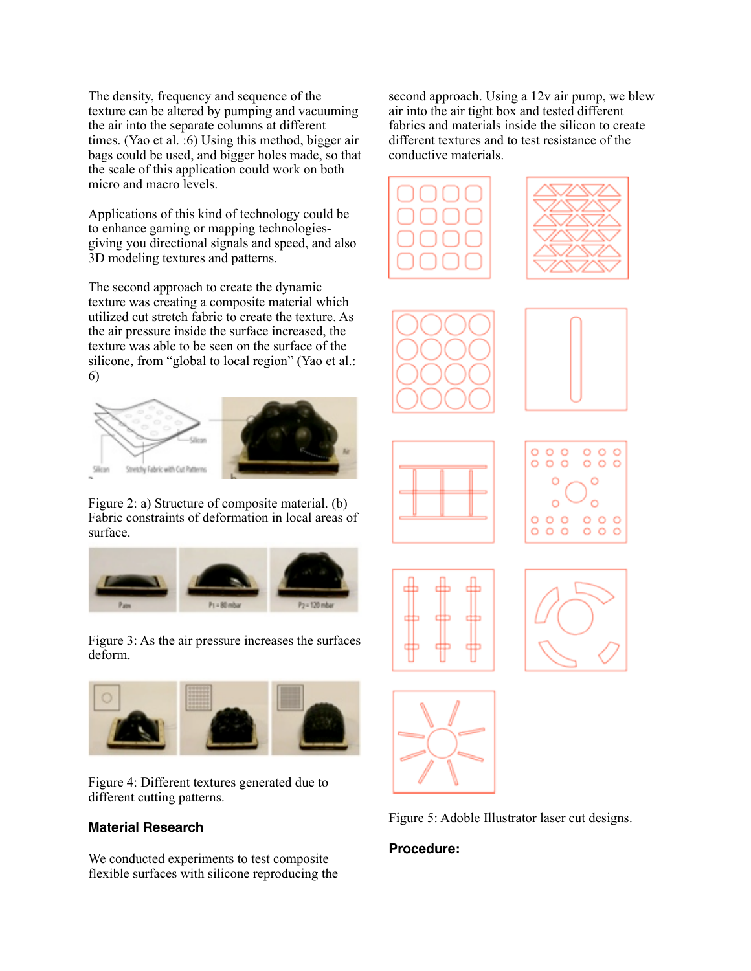The density, frequency and sequence of the texture can be altered by pumping and vacuuming the air into the separate columns at different times. (Yao et al. :6) Using this method, bigger air bags could be used, and bigger holes made, so that the scale of this application could work on both micro and macro levels.

Applications of this kind of technology could be to enhance gaming or mapping technologiesgiving you directional signals and speed, and also 3D modeling textures and patterns.

The second approach to create the dynamic texture was creating a composite material which utilized cut stretch fabric to create the texture. As the air pressure inside the surface increased, the texture was able to be seen on the surface of the silicone, from "global to local region" (Yao et al.: 6)



Figure 2: a) Structure of composite material. (b) Fabric constraints of deformation in local areas of surface.



Figure 3: As the air pressure increases the surfaces deform.



Figure 4: Different textures generated due to different cutting patterns.

## **Material Research**

We conducted experiments to test composite flexible surfaces with silicone reproducing the

second approach. Using a 12v air pump, we blew air into the air tight box and tested different fabrics and materials inside the silicon to create different textures and to test resistance of the conductive materials.

















Figure 5: Adoble Illustrator laser cut designs.

#### **Procedure:**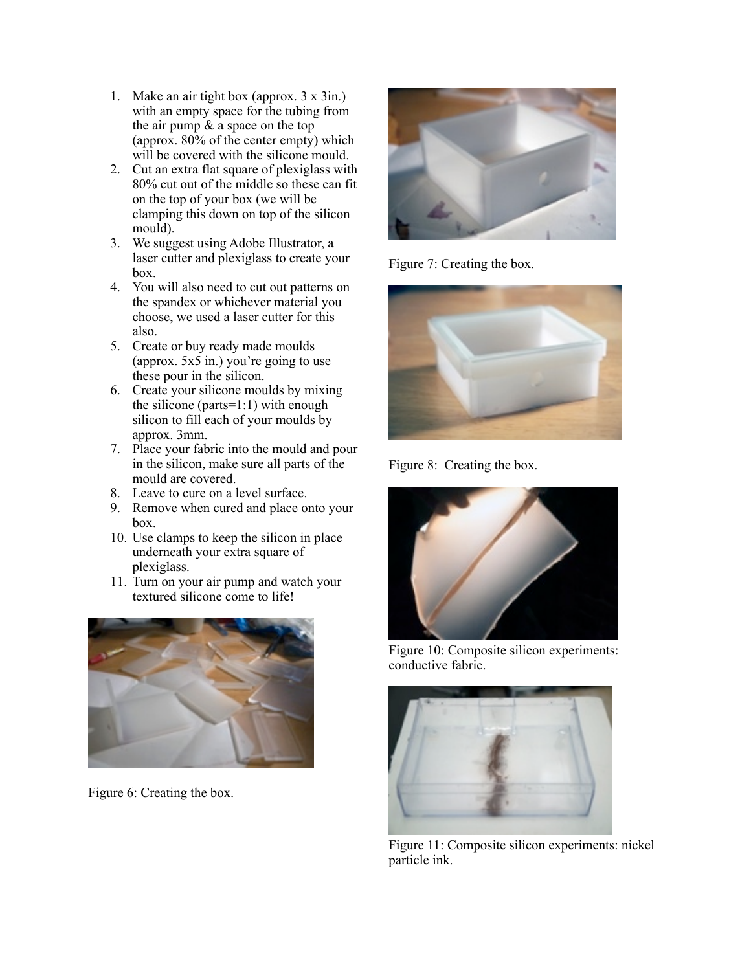- 1. Make an air tight box (approx. 3 x 3in.) with an empty space for the tubing from the air pump & a space on the top (approx.  $80\%$  of the center empty) which will be covered with the silicone mould.
- 2. Cut an extra flat square of plexiglass with 80% cut out of the middle so these can fit on the top of your box (we will be clamping this down on top of the silicon mould).
- 3. We suggest using Adobe Illustrator, a laser cutter and plexiglass to create your box.
- 4. You will also need to cut out patterns on the spandex or whichever material you choose, we used a laser cutter for this also.
- 5. Create or buy ready made moulds (approx.  $5x\overline{5}$  in.) you're going to use these pour in the silicon.
- 6. Create your silicone moulds by mixing the silicone (parts=1:1) with enough silicon to fill each of your moulds by approx. 3mm.
- 7. Place your fabric into the mould and pour in the silicon, make sure all parts of the mould are covered.
- 8. Leave to cure on a level surface.
- 9. Remove when cured and place onto your box.
- 10. Use clamps to keep the silicon in place underneath your extra square of plexiglass.
- 11. Turn on your air pump and watch your textured silicone come to life!



Figure 6: Creating the box.



Figure 7: Creating the box.



Figure 8: Creating the box.



Figure 10: Composite silicon experiments: conductive fabric.



Figure 11: Composite silicon experiments: nickel particle ink.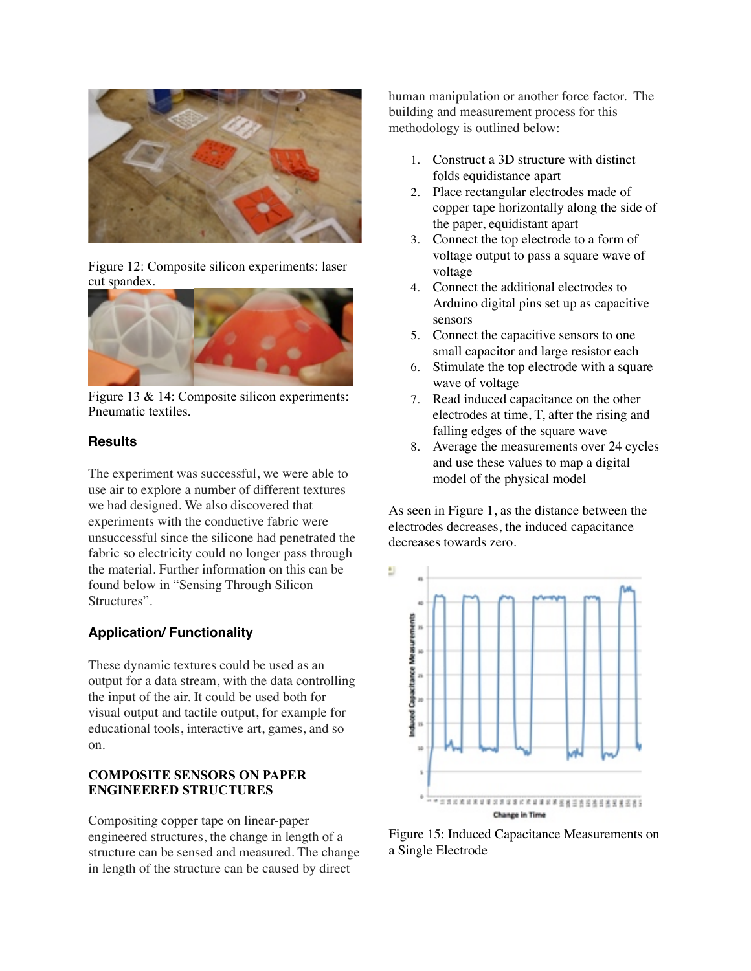

Figure 12: Composite silicon experiments: laser cut spandex.



Figure 13 & 14: Composite silicon experiments: Pneumatic textiles.

#### **Results**

The experiment was successful, we were able to use air to explore a number of different textures we had designed. We also discovered that experiments with the conductive fabric were unsuccessful since the silicone had penetrated the fabric so electricity could no longer pass through the material. Further information on this can be found below in "Sensing Through Silicon Structures".

## **Application/ Functionality**

These dynamic textures could be used as an output for a data stream, with the data controlling the input of the air. It could be used both for visual output and tactile output, for example for educational tools, interactive art, games, and so on.

#### **COMPOSITE SENSORS ON PAPER ENGINEERED STRUCTURES**

Compositing copper tape on linear-paper engineered structures, the change in length of a structure can be sensed and measured. The change in length of the structure can be caused by direct

human manipulation or another force factor. The building and measurement process for this methodology is outlined below:

- 1. Construct a 3D structure with distinct folds equidistance apart
- 2. Place rectangular electrodes made of copper tape horizontally along the side of the paper, equidistant apart
- 3. Connect the top electrode to a form of voltage output to pass a square wave of voltage
- 4. Connect the additional electrodes to Arduino digital pins set up as capacitive sensors
- 5. Connect the capacitive sensors to one small capacitor and large resistor each
- 6. Stimulate the top electrode with a square wave of voltage
- 7. Read induced capacitance on the other electrodes at time, T, after the rising and falling edges of the square wave
- 8. Average the measurements over 24 cycles and use these values to map a digital model of the physical model

As seen in Figure 1, as the distance between the electrodes decreases, the induced capacitance decreases towards zero.



Figure 15: Induced Capacitance Measurements on a Single Electrode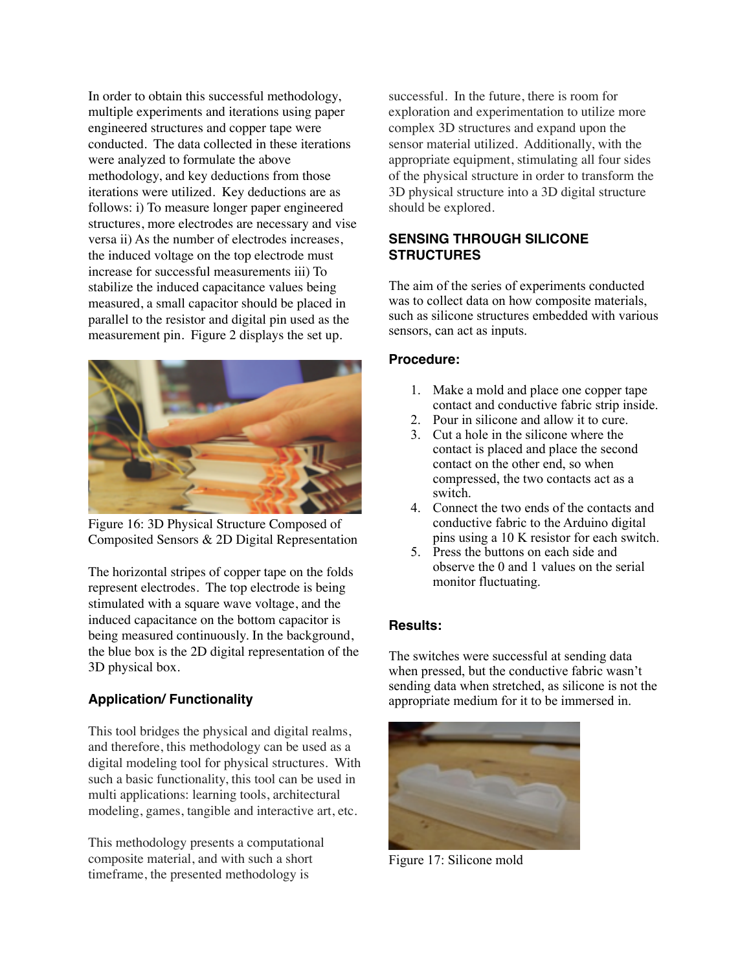In order to obtain this successful methodology, multiple experiments and iterations using paper engineered structures and copper tape were conducted. The data collected in these iterations were analyzed to formulate the above methodology, and key deductions from those iterations were utilized. Key deductions are as follows: i) To measure longer paper engineered structures, more electrodes are necessary and vise versa ii) As the number of electrodes increases, the induced voltage on the top electrode must increase for successful measurements iii) To stabilize the induced capacitance values being measured, a small capacitor should be placed in parallel to the resistor and digital pin used as the measurement pin. Figure 2 displays the set up.



Figure 16: 3D Physical Structure Composed of Composited Sensors & 2D Digital Representation

The horizontal stripes of copper tape on the folds represent electrodes. The top electrode is being stimulated with a square wave voltage, and the induced capacitance on the bottom capacitor is being measured continuously. In the background, the blue box is the 2D digital representation of the 3D physical box.

## **Application/ Functionality**

This tool bridges the physical and digital realms, and therefore, this methodology can be used as a digital modeling tool for physical structures. With such a basic functionality, this tool can be used in multi applications: learning tools, architectural modeling, games, tangible and interactive art, etc.

This methodology presents a computational composite material, and with such a short timeframe, the presented methodology is

successful. In the future, there is room for exploration and experimentation to utilize more complex 3D structures and expand upon the sensor material utilized. Additionally, with the appropriate equipment, stimulating all four sides of the physical structure in order to transform the 3D physical structure into a 3D digital structure should be explored.

## **SENSING THROUGH SILICONE STRUCTURES**

The aim of the series of experiments conducted was to collect data on how composite materials, such as silicone structures embedded with various sensors, can act as inputs.

## **Procedure:**

- 1. Make a mold and place one copper tape contact and conductive fabric strip inside.
- 2. Pour in silicone and allow it to cure.
- 3. Cut a hole in the silicone where the contact is placed and place the second contact on the other end, so when compressed, the two contacts act as a switch.
- 4. Connect the two ends of the contacts and conductive fabric to the Arduino digital pins using a 10 K resistor for each switch.
- 5. Press the buttons on each side and observe the 0 and 1 values on the serial monitor fluctuating.

## **Results:**

The switches were successful at sending data when pressed, but the conductive fabric wasn't sending data when stretched, as silicone is not the appropriate medium for it to be immersed in.



Figure 17: Silicone mold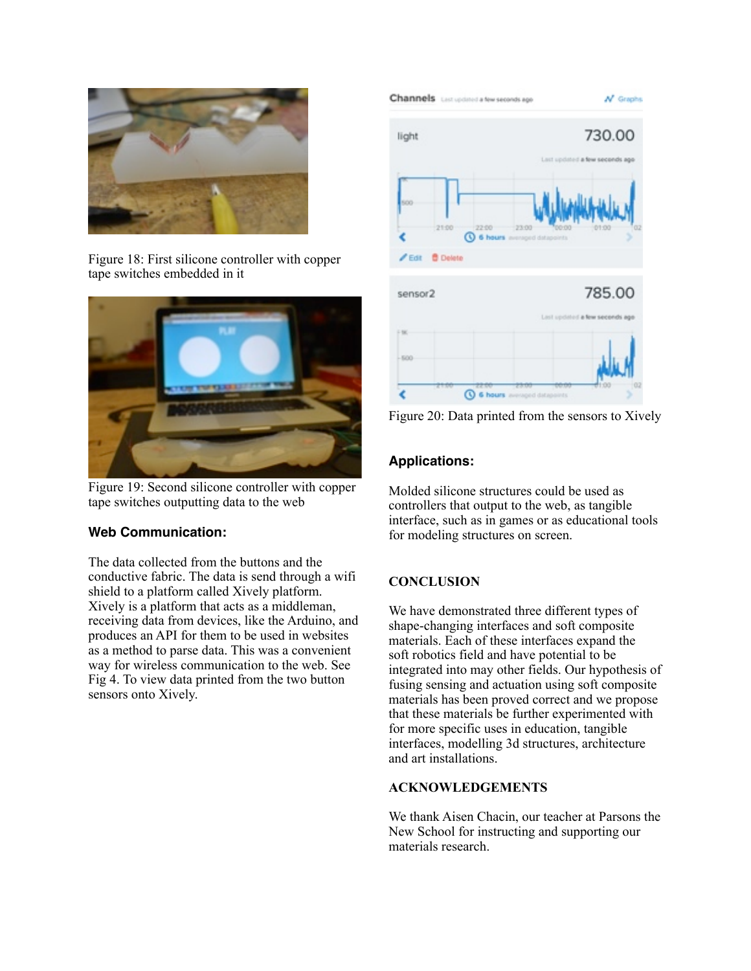

Figure 18: First silicone controller with copper tape switches embedded in it



Figure 19: Second silicone controller with copper tape switches outputting data to the web

## **Web Communication:**

The data collected from the buttons and the conductive fabric. The data is send through a wifi shield to a platform called Xively platform. Xively is a platform that acts as a middleman, receiving data from devices, like the Arduino, and produces an API for them to be used in websites as a method to parse data. This was a convenient way for wireless communication to the web. See Fig 4. To view data printed from the two button sensors onto Xively.



Figure 20: Data printed from the sensors to Xively

# **Applications:**

Molded silicone structures could be used as controllers that output to the web, as tangible interface, such as in games or as educational tools for modeling structures on screen.

# **CONCLUSION**

We have demonstrated three different types of shape-changing interfaces and soft composite materials. Each of these interfaces expand the soft robotics field and have potential to be integrated into may other fields. Our hypothesis of fusing sensing and actuation using soft composite materials has been proved correct and we propose that these materials be further experimented with for more specific uses in education, tangible interfaces, modelling 3d structures, architecture and art installations.

## **ACKNOWLEDGEMENTS**

We thank Aisen Chacin, our teacher at Parsons the New School for instructing and supporting our materials research.